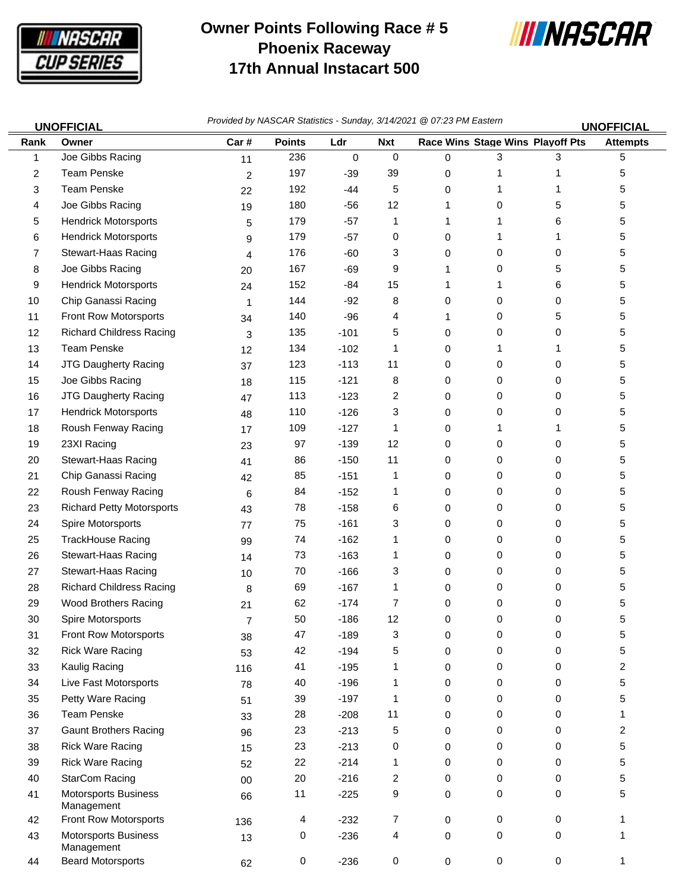

## **Owner Points Following Race # 5 Phoenix Raceway 17th Annual Instacart 500**



| <b>UNOFFICIAL</b> |                                    | Provided by NASCAR Statistics - Sunday, 3/14/2021 @ 07:23 PM Eastern<br><b>UNOFFICIAL</b> |               |        |             |              |                                  |             |                 |  |
|-------------------|------------------------------------|-------------------------------------------------------------------------------------------|---------------|--------|-------------|--------------|----------------------------------|-------------|-----------------|--|
| Rank              | Owner                              | Car#                                                                                      | <b>Points</b> | Ldr    | <b>Nxt</b>  |              | Race Wins Stage Wins Playoff Pts |             | <b>Attempts</b> |  |
| 1                 | Joe Gibbs Racing                   | 11                                                                                        | 236           | 0      | $\mathbf 0$ | 0            | 3                                | 3           | 5               |  |
| 2                 | <b>Team Penske</b>                 | $\overline{c}$                                                                            | 197           | $-39$  | 39          | 0            | 1                                | 1           | 5               |  |
| 3                 | <b>Team Penske</b>                 | 22                                                                                        | 192           | $-44$  | 5           | 0            | 1                                | 1           | 5               |  |
| 4                 | Joe Gibbs Racing                   | 19                                                                                        | 180           | $-56$  | 12          | 1            | 0                                | 5           | 5               |  |
| 5                 | <b>Hendrick Motorsports</b>        | 5                                                                                         | 179           | $-57$  | 1           | 1            | 1                                | 6           | 5               |  |
| 6                 | <b>Hendrick Motorsports</b>        | 9                                                                                         | 179           | $-57$  | 0           | 0            | 1                                | 1           | 5               |  |
| 7                 | Stewart-Haas Racing                | 4                                                                                         | 176           | -60    | 3           | 0            | 0                                | 0           | 5               |  |
| 8                 | Joe Gibbs Racing                   | 20                                                                                        | 167           | $-69$  | 9           | 1            | 0                                | 5           | 5               |  |
| 9                 | <b>Hendrick Motorsports</b>        | 24                                                                                        | 152           | -84    | 15          | 1            | 1                                | 6           | 5               |  |
| 10                | Chip Ganassi Racing                | 1                                                                                         | 144           | $-92$  | 8           | 0            | 0                                | 0           | 5               |  |
| 11                | Front Row Motorsports              | 34                                                                                        | 140           | $-96$  | 4           | 1            | 0                                | 5           | 5               |  |
| 12                | <b>Richard Childress Racing</b>    | 3                                                                                         | 135           | $-101$ | 5           | 0            | 0                                | 0           | 5               |  |
| 13                | <b>Team Penske</b>                 | 12                                                                                        | 134           | $-102$ | 1           | 0            | 1                                | 1           | 5               |  |
| 14                | JTG Daugherty Racing               | 37                                                                                        | 123           | $-113$ | 11          | 0            | 0                                | 0           | 5               |  |
| 15                | Joe Gibbs Racing                   | 18                                                                                        | 115           | $-121$ | 8           | 0            | 0                                | 0           | 5               |  |
| 16                | <b>JTG Daugherty Racing</b>        | 47                                                                                        | 113           | $-123$ | 2           | 0            | 0                                | 0           | 5               |  |
| 17                | <b>Hendrick Motorsports</b>        | 48                                                                                        | 110           | $-126$ | 3           | 0            | 0                                | 0           | 5               |  |
| 18                | Roush Fenway Racing                | 17                                                                                        | 109           | $-127$ | 1           | 0            | 1                                | 1           | 5               |  |
| 19                | 23XI Racing                        | 23                                                                                        | 97            | $-139$ | 12          | 0            | 0                                | 0           | 5               |  |
| 20                | Stewart-Haas Racing                | 41                                                                                        | 86            | $-150$ | 11          | 0            | 0                                | 0           | 5               |  |
| 21                | Chip Ganassi Racing                | 42                                                                                        | 85            | $-151$ | 1           | 0            | 0                                | 0           | 5               |  |
| 22                | Roush Fenway Racing                | 6                                                                                         | 84            | $-152$ | 1           | 0            | 0                                | 0           | 5               |  |
| 23                | <b>Richard Petty Motorsports</b>   | 43                                                                                        | 78            | $-158$ | 6           | 0            | 0                                | 0           | 5               |  |
| 24                | Spire Motorsports                  | 77                                                                                        | 75            | $-161$ | 3           | 0            | 0                                | 0           | 5               |  |
| 25                | <b>TrackHouse Racing</b>           | 99                                                                                        | 74            | $-162$ | 1           | 0            | 0                                | 0           | 5               |  |
| 26                | Stewart-Haas Racing                | 14                                                                                        | 73            | $-163$ | 1           | 0            | 0                                | 0           | 5               |  |
| 27                | Stewart-Haas Racing                | 10                                                                                        | 70            | $-166$ | 3           | 0            | 0                                | 0           | 5               |  |
| 28                | <b>Richard Childress Racing</b>    | 8                                                                                         | 69            | $-167$ | 1           | 0            | 0                                | 0           | 5               |  |
| 29                | <b>Wood Brothers Racing</b>        | 21                                                                                        | 62            | $-174$ | 7           | 0            | 0                                | 0           | 5               |  |
| 30                | Spire Motorsports                  | $\overline{7}$                                                                            | 50            | $-186$ | 12          | <sup>0</sup> | 0                                | 0           | 5               |  |
| 31                | Front Row Motorsports              | 38                                                                                        | 47            | $-189$ | 3           | 0            | 0                                | 0           | 5               |  |
| 32                | <b>Rick Ware Racing</b>            | 53                                                                                        | 42            | $-194$ | 5           | 0            | 0                                | 0           | 5               |  |
| 33                | Kaulig Racing                      | 116                                                                                       | 41            | $-195$ | 1           | 0            | 0                                | 0           | $\overline{c}$  |  |
| 34                | Live Fast Motorsports              | 78                                                                                        | 40            | $-196$ | 1           | 0            | 0                                | 0           | 5               |  |
| 35                | Petty Ware Racing                  | 51                                                                                        | 39            | $-197$ | 1           | 0            | 0                                | 0           | 5               |  |
| 36                | <b>Team Penske</b>                 | 33                                                                                        | 28            | $-208$ | 11          | 0            | 0                                | 0           | 1               |  |
| 37                | <b>Gaunt Brothers Racing</b>       | 96                                                                                        | 23            | $-213$ | 5           | 0            | 0                                | 0           | 2               |  |
| 38                | <b>Rick Ware Racing</b>            | 15                                                                                        | 23            | $-213$ | 0           | 0            | 0                                | 0           | 5               |  |
| 39                | <b>Rick Ware Racing</b>            | 52                                                                                        | 22            | $-214$ | 1           | 0            | 0                                | 0           | 5               |  |
| 40                | <b>StarCom Racing</b>              | $00\,$                                                                                    | 20            | $-216$ | 2           | 0            | 0                                | 0           | 5               |  |
| 41                | Motorsports Business<br>Management | 66                                                                                        | 11            | $-225$ | 9           | 0            | 0                                | 0           | 5               |  |
| 42                | Front Row Motorsports              | 136                                                                                       | 4             | $-232$ | 7           | 0            | 0                                | 0           | 1               |  |
| 43                | Motorsports Business<br>Management | 13                                                                                        | 0             | $-236$ | 4           | 0            | 0                                | 0           | 1               |  |
| 44                | <b>Beard Motorsports</b>           | 62                                                                                        | 0             | $-236$ | 0           | 0            | 0                                | $\mathsf 0$ | 1               |  |